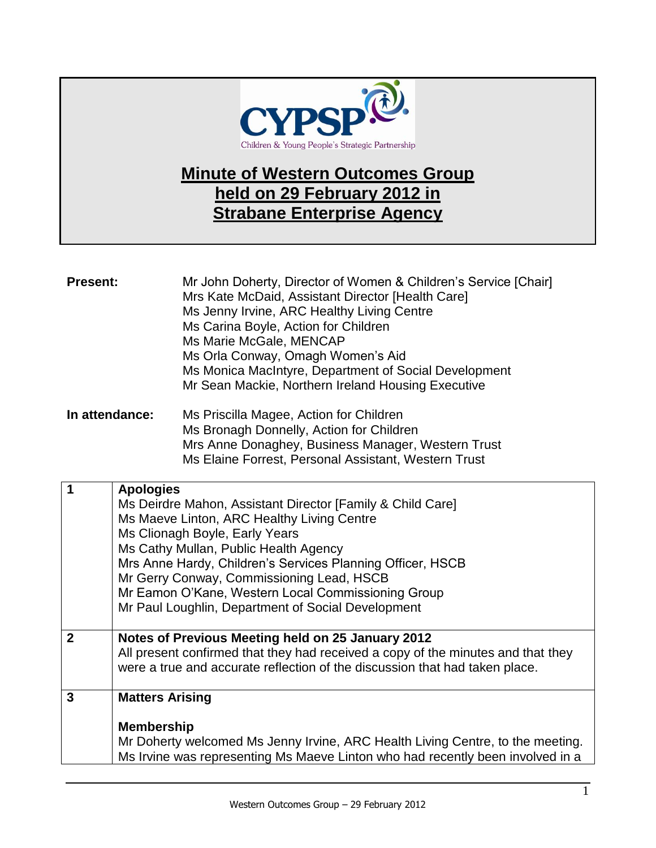

## **Minute of Western Outcomes Group held on 29 February 2012 in Strabane Enterprise Agency**

| <b>Present:</b> |                                             | Mr John Doherty, Director of Women & Children's Service [Chair]<br>Mrs Kate McDaid, Assistant Director [Health Care]<br>Ms Jenny Irvine, ARC Healthy Living Centre<br>Ms Carina Boyle, Action for Children<br>Ms Marie McGale, MENCAP<br>Ms Orla Conway, Omagh Women's Aid<br>Ms Monica MacIntyre, Department of Social Development<br>Mr Sean Mackie, Northern Ireland Housing Executive                  |
|-----------------|---------------------------------------------|------------------------------------------------------------------------------------------------------------------------------------------------------------------------------------------------------------------------------------------------------------------------------------------------------------------------------------------------------------------------------------------------------------|
| In attendance:  |                                             | Ms Priscilla Magee, Action for Children<br>Ms Bronagh Donnelly, Action for Children<br>Mrs Anne Donaghey, Business Manager, Western Trust<br>Ms Elaine Forrest, Personal Assistant, Western Trust                                                                                                                                                                                                          |
| 1               | <b>Apologies</b>                            | Ms Deirdre Mahon, Assistant Director [Family & Child Care]<br>Ms Maeve Linton, ARC Healthy Living Centre<br>Ms Clionagh Boyle, Early Years<br>Ms Cathy Mullan, Public Health Agency<br>Mrs Anne Hardy, Children's Services Planning Officer, HSCB<br>Mr Gerry Conway, Commissioning Lead, HSCB<br>Mr Eamon O'Kane, Western Local Commissioning Group<br>Mr Paul Loughlin, Department of Social Development |
| $\overline{2}$  |                                             | Notes of Previous Meeting held on 25 January 2012<br>All present confirmed that they had received a copy of the minutes and that they<br>were a true and accurate reflection of the discussion that had taken place.                                                                                                                                                                                       |
| $\overline{3}$  | <b>Matters Arising</b><br><b>Membership</b> |                                                                                                                                                                                                                                                                                                                                                                                                            |
|                 |                                             | Mr Doherty welcomed Ms Jenny Irvine, ARC Health Living Centre, to the meeting.<br>Ms Irvine was representing Ms Maeve Linton who had recently been involved in a                                                                                                                                                                                                                                           |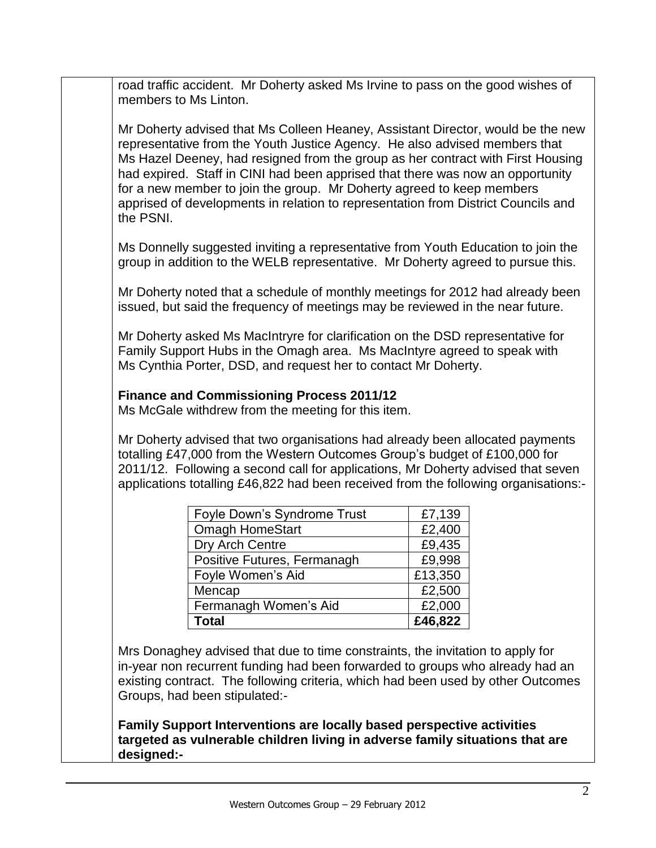road traffic accident. Mr Doherty asked Ms Irvine to pass on the good wishes of members to Ms Linton.

Mr Doherty advised that Ms Colleen Heaney, Assistant Director, would be the new representative from the Youth Justice Agency. He also advised members that Ms Hazel Deeney, had resigned from the group as her contract with First Housing had expired. Staff in CINI had been apprised that there was now an opportunity for a new member to join the group. Mr Doherty agreed to keep members apprised of developments in relation to representation from District Councils and the PSNI.

Ms Donnelly suggested inviting a representative from Youth Education to join the group in addition to the WELB representative. Mr Doherty agreed to pursue this.

Mr Doherty noted that a schedule of monthly meetings for 2012 had already been issued, but said the frequency of meetings may be reviewed in the near future.

Mr Doherty asked Ms MacIntryre for clarification on the DSD representative for Family Support Hubs in the Omagh area. Ms MacIntyre agreed to speak with Ms Cynthia Porter, DSD, and request her to contact Mr Doherty.

## **Finance and Commissioning Process 2011/12**

Ms McGale withdrew from the meeting for this item.

Mr Doherty advised that two organisations had already been allocated payments totalling £47,000 from the Western Outcomes Group's budget of £100,000 for 2011/12. Following a second call for applications, Mr Doherty advised that seven applications totalling £46,822 had been received from the following organisations:-

| Foyle Down's Syndrome Trust | £7,139  |
|-----------------------------|---------|
| <b>Omagh HomeStart</b>      | £2,400  |
| Dry Arch Centre             | £9,435  |
| Positive Futures, Fermanagh | £9,998  |
| Foyle Women's Aid           | £13,350 |
| Mencap                      | £2,500  |
| Fermanagh Women's Aid       | £2,000  |
| Total                       | £46,822 |

Mrs Donaghey advised that due to time constraints, the invitation to apply for in-year non recurrent funding had been forwarded to groups who already had an existing contract. The following criteria, which had been used by other Outcomes Groups, had been stipulated:-

**Family Support Interventions are locally based perspective activities targeted as vulnerable children living in adverse family situations that are designed:-**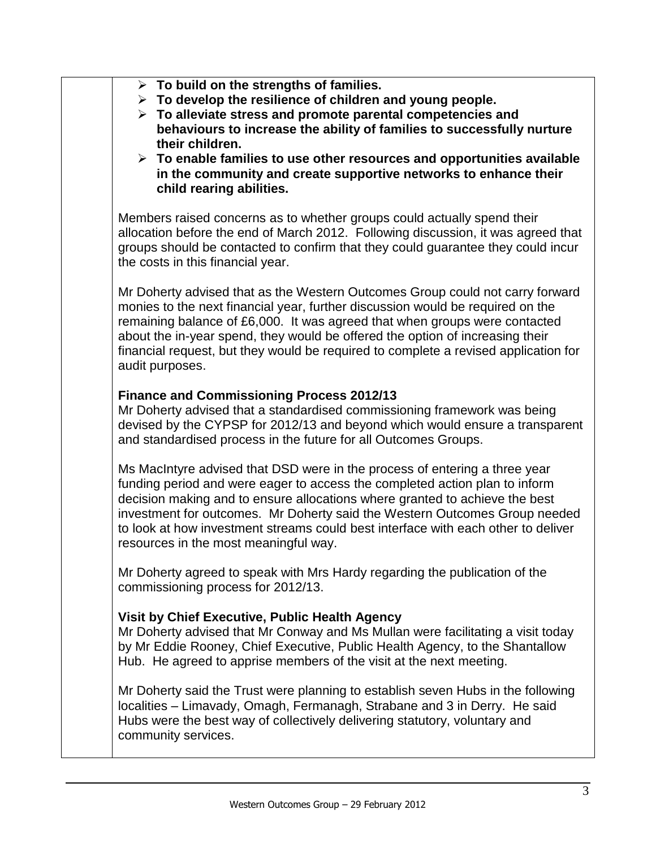| $\triangleright$ To build on the strengths of families.<br>$\triangleright$ To develop the resilience of children and young people.<br>$\triangleright$ To alleviate stress and promote parental competencies and<br>behaviours to increase the ability of families to successfully nurture<br>their children.<br>$\triangleright$ To enable families to use other resources and opportunities available<br>in the community and create supportive networks to enhance their<br>child rearing abilities. |
|----------------------------------------------------------------------------------------------------------------------------------------------------------------------------------------------------------------------------------------------------------------------------------------------------------------------------------------------------------------------------------------------------------------------------------------------------------------------------------------------------------|
| Members raised concerns as to whether groups could actually spend their<br>allocation before the end of March 2012. Following discussion, it was agreed that<br>groups should be contacted to confirm that they could guarantee they could incur<br>the costs in this financial year.                                                                                                                                                                                                                    |
| Mr Doherty advised that as the Western Outcomes Group could not carry forward<br>monies to the next financial year, further discussion would be required on the<br>remaining balance of £6,000. It was agreed that when groups were contacted<br>about the in-year spend, they would be offered the option of increasing their<br>financial request, but they would be required to complete a revised application for<br>audit purposes.                                                                 |
| <b>Finance and Commissioning Process 2012/13</b><br>Mr Doherty advised that a standardised commissioning framework was being<br>devised by the CYPSP for 2012/13 and beyond which would ensure a transparent<br>and standardised process in the future for all Outcomes Groups.                                                                                                                                                                                                                          |
| Ms MacIntyre advised that DSD were in the process of entering a three year<br>funding period and were eager to access the completed action plan to inform<br>decision making and to ensure allocations where granted to achieve the best<br>investment for outcomes. Mr Doherty said the Western Outcomes Group needed<br>to look at how investment streams could best interface with each other to deliver<br>resources in the most meaningful way.                                                     |
| Mr Doherty agreed to speak with Mrs Hardy regarding the publication of the<br>commissioning process for 2012/13.                                                                                                                                                                                                                                                                                                                                                                                         |
| Visit by Chief Executive, Public Health Agency<br>Mr Doherty advised that Mr Conway and Ms Mullan were facilitating a visit today<br>by Mr Eddie Rooney, Chief Executive, Public Health Agency, to the Shantallow<br>Hub. He agreed to apprise members of the visit at the next meeting.                                                                                                                                                                                                                 |
| Mr Doherty said the Trust were planning to establish seven Hubs in the following<br>localities - Limavady, Omagh, Fermanagh, Strabane and 3 in Derry. He said<br>Hubs were the best way of collectively delivering statutory, voluntary and<br>community services.                                                                                                                                                                                                                                       |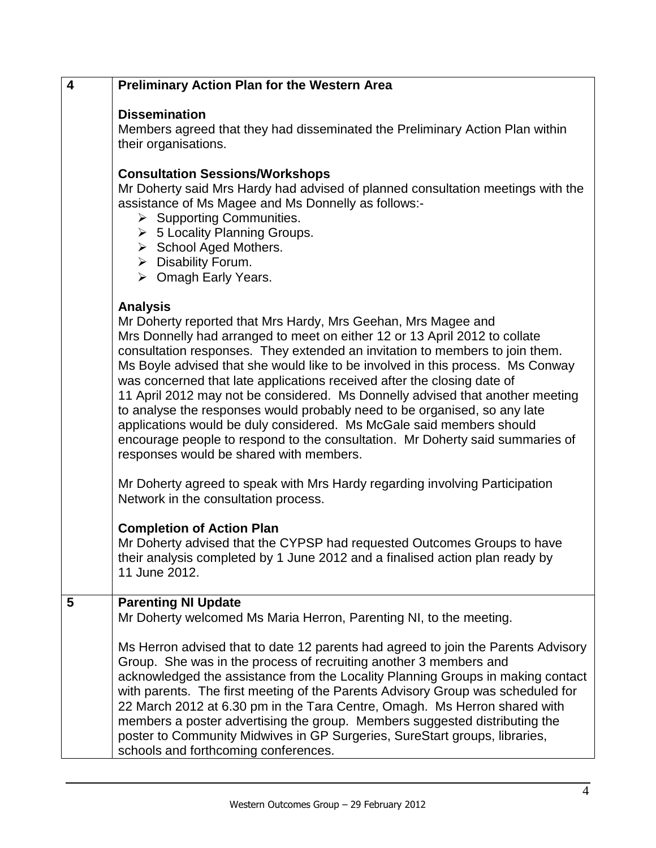| $\overline{\mathbf{4}}$ | <b>Preliminary Action Plan for the Western Area</b>                                                                                                                                                                                                                                                                                                                                                                                                                                                                                                                                                                                                                                                                                                                           |
|-------------------------|-------------------------------------------------------------------------------------------------------------------------------------------------------------------------------------------------------------------------------------------------------------------------------------------------------------------------------------------------------------------------------------------------------------------------------------------------------------------------------------------------------------------------------------------------------------------------------------------------------------------------------------------------------------------------------------------------------------------------------------------------------------------------------|
|                         | <b>Dissemination</b><br>Members agreed that they had disseminated the Preliminary Action Plan within<br>their organisations.<br><b>Consultation Sessions/Workshops</b><br>Mr Doherty said Mrs Hardy had advised of planned consultation meetings with the<br>assistance of Ms Magee and Ms Donnelly as follows:-<br>$\triangleright$ Supporting Communities.<br>$\triangleright$ 5 Locality Planning Groups.<br>> School Aged Mothers.<br>$\triangleright$ Disability Forum.<br>$\triangleright$ Omagh Early Years.                                                                                                                                                                                                                                                           |
|                         | <b>Analysis</b><br>Mr Doherty reported that Mrs Hardy, Mrs Geehan, Mrs Magee and<br>Mrs Donnelly had arranged to meet on either 12 or 13 April 2012 to collate<br>consultation responses. They extended an invitation to members to join them.<br>Ms Boyle advised that she would like to be involved in this process. Ms Conway<br>was concerned that late applications received after the closing date of<br>11 April 2012 may not be considered. Ms Donnelly advised that another meeting<br>to analyse the responses would probably need to be organised, so any late<br>applications would be duly considered. Ms McGale said members should<br>encourage people to respond to the consultation. Mr Doherty said summaries of<br>responses would be shared with members. |
|                         | Mr Doherty agreed to speak with Mrs Hardy regarding involving Participation<br>Network in the consultation process.<br><b>Completion of Action Plan</b><br>Mr Doherty advised that the CYPSP had requested Outcomes Groups to have<br>their analysis completed by 1 June 2012 and a finalised action plan ready by<br>11 June 2012.                                                                                                                                                                                                                                                                                                                                                                                                                                           |
| 5                       | <b>Parenting NI Update</b><br>Mr Doherty welcomed Ms Maria Herron, Parenting NI, to the meeting.<br>Ms Herron advised that to date 12 parents had agreed to join the Parents Advisory<br>Group. She was in the process of recruiting another 3 members and<br>acknowledged the assistance from the Locality Planning Groups in making contact<br>with parents. The first meeting of the Parents Advisory Group was scheduled for<br>22 March 2012 at 6.30 pm in the Tara Centre, Omagh. Ms Herron shared with<br>members a poster advertising the group. Members suggested distributing the<br>poster to Community Midwives in GP Surgeries, SureStart groups, libraries,<br>schools and forthcoming conferences.                                                             |